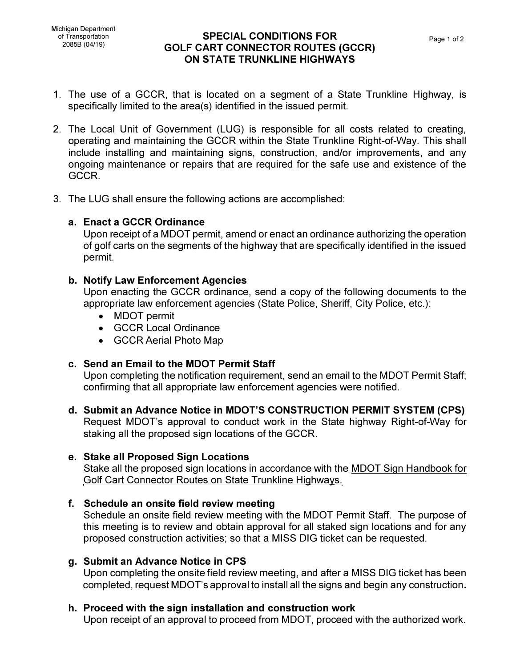### **SPECIAL CONDITIONS FOR** Page 1 of 2 <sup>2085</sup><sup>B</sup> (04/19) **GOLF CART CONNECTOR ROUTES (GCCR) ON STATE TRUNKLINE HIGHWAYS**

- 1. The use of a GCCR, that is located on a segment of a State Trunkline Highway, is specifically limited to the area(s) identified in the issued permit.
- 2. The Local Unit of Government (LUG) is responsible for all costs related to creating, operating and maintaining the GCCR within the State Trunkline Right-of-Way. This shall include installing and maintaining signs, construction, and/or improvements, and any ongoing maintenance or repairs that are required for the safe use and existence of the GCCR.
- 3. The LUG shall ensure the following actions are accomplished:

# **a. Enact a GCCR Ordinance**

Upon receipt of a MOOT permit, amend or enact an ordinance authorizing the operation of golf carts on the segments of the highway that are specifically identified in the issued permit.

### **b. Notify Law Enforcement Agencies**

Upon enacting the GCCR ordinance, send a copy of the following documents to the appropriate law enforcement agencies (State Police, Sheriff, City Police, etc.):

- MOOT permit
- GCCR Local Ordinance
- GCCR Aerial Photo Map

# **c. Send an Email to the MDOT Permit Staff**

Upon completing the notification requirement, send an email to the MOOT Permit Staff; confirming that all appropriate law enforcement agencies were notified.

**d. Submit an Advance Notice in MDOT'S CONSTRUCTION PERMIT SYSTEM (CPS)** Request MOOT's approval to conduct work in the State highway Right-of-Way for staking all the proposed sign locations of the GCCR.

# **e. Stake all Proposed Sign Locations**

Stake all the proposed sign locations in accordance with the MOOT Sign Handbook for Golf Cart Connector Routes on State Trunkline Highways.

# **f. Schedule an onsite field review meeting**

Schedule an onsite field review meeting with the MOOT Permit Staff. The purpose of this meeting is to review and obtain approval for all staked sign locations and for any proposed construction activities; so that a MISS DIG ticket can be requested.

#### **g. Submit an Advance Notice in CPS**

Upon completing the onsite field review meeting, and after a MISS DIG ticket has been completed, request MOOT's approval to install all the signs and begin any construction.

# **h. Proceed with the sign installation and construction work**

Upon receipt of an approval to proceed from MOOT, proceed with the authorized work.